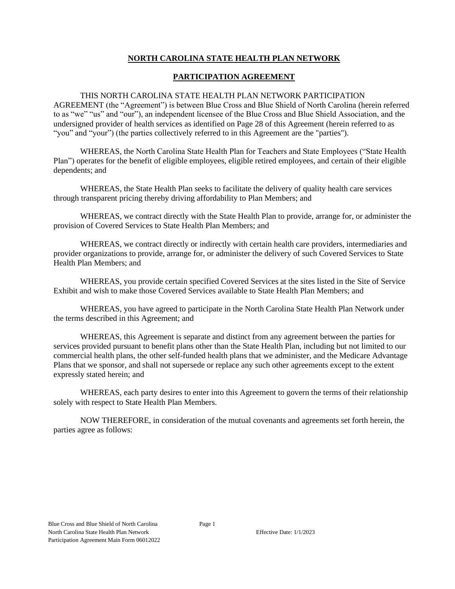## **NORTH CAROLINA STATE HEALTH PLAN NETWORK**

# **PARTICIPATION AGREEMENT**

### THIS NORTH CAROLINA STATE HEALTH PLAN NETWORK PARTICIPATION

AGREEMENT (the "Agreement") is between Blue Cross and Blue Shield of North Carolina (herein referred to as "we" "us" and "our"), an independent licensee of the Blue Cross and Blue Shield Association, and the undersigned provider of health services as identified on Page 28 of this Agreement (herein referred to as "you" and "your") (the parties collectively referred to in this Agreement are the "parties").

WHEREAS, the North Carolina State Health Plan for Teachers and State Employees ("State Health Plan") operates for the benefit of eligible employees, eligible retired employees, and certain of their eligible dependents; and

WHEREAS, the State Health Plan seeks to facilitate the delivery of quality health care services through transparent pricing thereby driving affordability to Plan Members; and

WHEREAS, we contract directly with the State Health Plan to provide, arrange for, or administer the provision of Covered Services to State Health Plan Members; and

WHEREAS, we contract directly or indirectly with certain health care providers, intermediaries and provider organizations to provide, arrange for, or administer the delivery of such Covered Services to State Health Plan Members; and

WHEREAS, you provide certain specified Covered Services at the sites listed in the Site of Service Exhibit and wish to make those Covered Services available to State Health Plan Members; and

WHEREAS, you have agreed to participate in the North Carolina State Health Plan Network under the terms described in this Agreement; and

WHEREAS, this Agreement is separate and distinct from any agreement between the parties for services provided pursuant to benefit plans other than the State Health Plan, including but not limited to our commercial health plans, the other self-funded health plans that we administer, and the Medicare Advantage Plans that we sponsor, and shall not supersede or replace any such other agreements except to the extent expressly stated herein; and

WHEREAS, each party desires to enter into this Agreement to govern the terms of their relationship solely with respect to State Health Plan Members.

NOW THEREFORE, in consideration of the mutual covenants and agreements set forth herein, the parties agree as follows: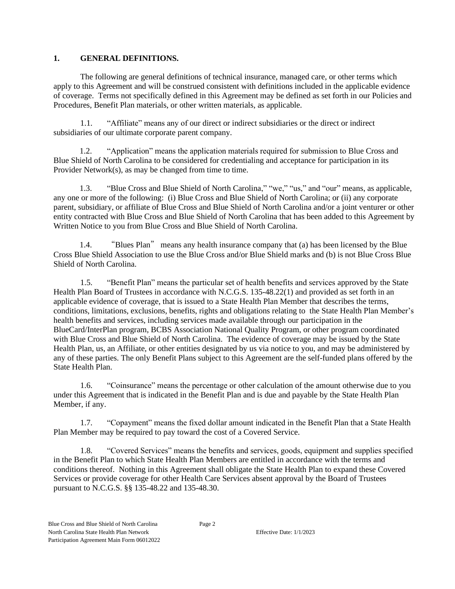#### **1. GENERAL DEFINITIONS.**

The following are general definitions of technical insurance, managed care, or other terms which apply to this Agreement and will be construed consistent with definitions included in the applicable evidence of coverage. Terms not specifically defined in this Agreement may be defined as set forth in our Policies and Procedures, Benefit Plan materials, or other written materials, as applicable.

1.1. "Affiliate" means any of our direct or indirect subsidiaries or the direct or indirect subsidiaries of our ultimate corporate parent company.

1.2. "Application" means the application materials required for submission to Blue Cross and Blue Shield of North Carolina to be considered for credentialing and acceptance for participation in its Provider Network(s), as may be changed from time to time.

1.3. "Blue Cross and Blue Shield of North Carolina," "we," "us," and "our" means, as applicable, any one or more of the following: (i) Blue Cross and Blue Shield of North Carolina; or (ii) any corporate parent, subsidiary, or affiliate of Blue Cross and Blue Shield of North Carolina and/or a joint venturer or other entity contracted with Blue Cross and Blue Shield of North Carolina that has been added to this Agreement by Written Notice to you from Blue Cross and Blue Shield of North Carolina.

1.4. "Blues Plan" means any health insurance company that (a) has been licensed by the Blue Cross Blue Shield Association to use the Blue Cross and/or Blue Shield marks and (b) is not Blue Cross Blue Shield of North Carolina.

1.5. "Benefit Plan" means the particular set of health benefits and services approved by the State Health Plan Board of Trustees in accordance with N.C.G.S. 135-48.22(1) and provided as set forth in an applicable evidence of coverage, that is issued to a State Health Plan Member that describes the terms, conditions, limitations, exclusions, benefits, rights and obligations relating to the State Health Plan Member's health benefits and services, including services made available through our participation in the BlueCard/InterPlan program, BCBS Association National Quality Program, or other program coordinated with Blue Cross and Blue Shield of North Carolina. The evidence of coverage may be issued by the State Health Plan, us, an Affiliate, or other entities designated by us via notice to you, and may be administered by any of these parties. The only Benefit Plans subject to this Agreement are the self-funded plans offered by the State Health Plan.

1.6. "Coinsurance" means the percentage or other calculation of the amount otherwise due to you under this Agreement that is indicated in the Benefit Plan and is due and payable by the State Health Plan Member, if any.

1.7. "Copayment" means the fixed dollar amount indicated in the Benefit Plan that a State Health Plan Member may be required to pay toward the cost of a Covered Service.

1.8. "Covered Services" means the benefits and services, goods, equipment and supplies specified in the Benefit Plan to which State Health Plan Members are entitled in accordance with the terms and conditions thereof. Nothing in this Agreement shall obligate the State Health Plan to expand these Covered Services or provide coverage for other Health Care Services absent approval by the Board of Trustees pursuant to N.C.G.S. §§ 135-48.22 and 135-48.30.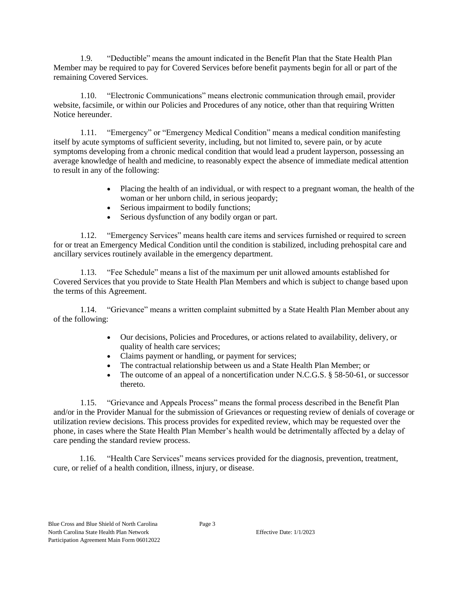1.9. "Deductible" means the amount indicated in the Benefit Plan that the State Health Plan Member may be required to pay for Covered Services before benefit payments begin for all or part of the remaining Covered Services.

1.10. "Electronic Communications" means electronic communication through email, provider website, facsimile, or within our Policies and Procedures of any notice, other than that requiring Written Notice hereunder.

1.11. "Emergency" or "Emergency Medical Condition" means a medical condition manifesting itself by acute symptoms of sufficient severity, including, but not limited to, severe pain, or by acute symptoms developing from a chronic medical condition that would lead a prudent layperson, possessing an average knowledge of health and medicine, to reasonably expect the absence of immediate medical attention to result in any of the following:

- Placing the health of an individual, or with respect to a pregnant woman, the health of the woman or her unborn child, in serious jeopardy;
- Serious impairment to bodily functions;
- Serious dysfunction of any bodily organ or part.

1.12. "Emergency Services" means health care items and services furnished or required to screen for or treat an Emergency Medical Condition until the condition is stabilized, including prehospital care and ancillary services routinely available in the emergency department.

1.13. "Fee Schedule" means a list of the maximum per unit allowed amounts established for Covered Services that you provide to State Health Plan Members and which is subject to change based upon the terms of this Agreement.

1.14. "Grievance" means a written complaint submitted by a State Health Plan Member about any of the following:

- Our decisions, Policies and Procedures, or actions related to availability, delivery, or quality of health care services;
- Claims payment or handling, or payment for services;
- The contractual relationship between us and a State Health Plan Member; or
- The outcome of an appeal of a noncertification under N.C.G.S. § 58-50-61, or successor thereto.

1.15. "Grievance and Appeals Process" means the formal process described in the Benefit Plan and/or in the Provider Manual for the submission of Grievances or requesting review of denials of coverage or utilization review decisions. This process provides for expedited review, which may be requested over the phone, in cases where the State Health Plan Member's health would be detrimentally affected by a delay of care pending the standard review process.

1.16. "Health Care Services" means services provided for the diagnosis, prevention, treatment, cure, or relief of a health condition, illness, injury, or disease.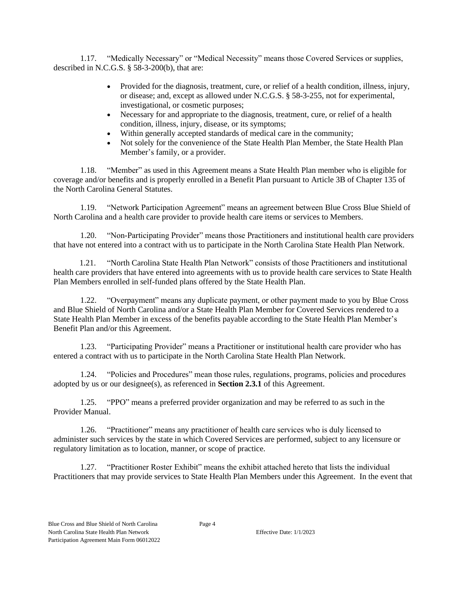1.17. "Medically Necessary" or "Medical Necessity" means those Covered Services or supplies, described in N.C.G.S. § 58-3-200(b), that are:

- Provided for the diagnosis, treatment, cure, or relief of a health condition, illness, injury, or disease; and, except as allowed under N.C.G.S. § 58-3-255, not for experimental, investigational, or cosmetic purposes;
- Necessary for and appropriate to the diagnosis, treatment, cure, or relief of a health condition, illness, injury, disease, or its symptoms;
- Within generally accepted standards of medical care in the community;
- Not solely for the convenience of the State Health Plan Member, the State Health Plan Member's family, or a provider.

1.18. "Member" as used in this Agreement means a State Health Plan member who is eligible for coverage and/or benefits and is properly enrolled in a Benefit Plan pursuant to Article 3B of Chapter 135 of the North Carolina General Statutes.

1.19. "Network Participation Agreement" means an agreement between Blue Cross Blue Shield of North Carolina and a health care provider to provide health care items or services to Members.

1.20. "Non-Participating Provider" means those Practitioners and institutional health care providers that have not entered into a contract with us to participate in the North Carolina State Health Plan Network.

1.21. "North Carolina State Health Plan Network" consists of those Practitioners and institutional health care providers that have entered into agreements with us to provide health care services to State Health Plan Members enrolled in self-funded plans offered by the State Health Plan.

1.22. "Overpayment" means any duplicate payment, or other payment made to you by Blue Cross and Blue Shield of North Carolina and/or a State Health Plan Member for Covered Services rendered to a State Health Plan Member in excess of the benefits payable according to the State Health Plan Member's Benefit Plan and/or this Agreement.

1.23. "Participating Provider" means a Practitioner or institutional health care provider who has entered a contract with us to participate in the North Carolina State Health Plan Network.

1.24. "Policies and Procedures" mean those rules, regulations, programs, policies and procedures adopted by us or our designee(s), as referenced in **Section 2.3.1** of this Agreement.

1.25. "PPO" means a preferred provider organization and may be referred to as such in the Provider Manual.

1.26. "Practitioner" means any practitioner of health care services who is duly licensed to administer such services by the state in which Covered Services are performed, subject to any licensure or regulatory limitation as to location, manner, or scope of practice.

1.27. "Practitioner Roster Exhibit" means the exhibit attached hereto that lists the individual Practitioners that may provide services to State Health Plan Members under this Agreement. In the event that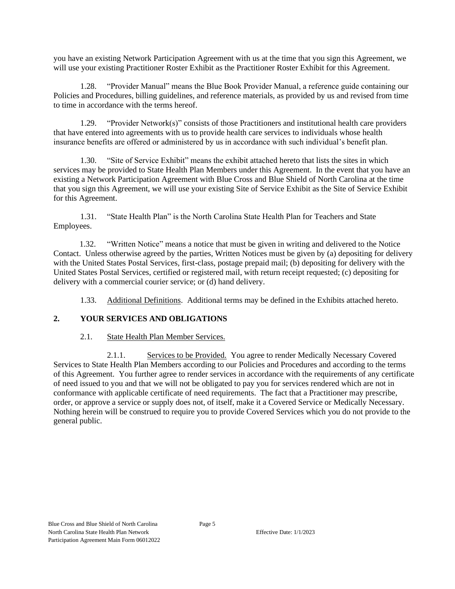you have an existing Network Participation Agreement with us at the time that you sign this Agreement, we will use your existing Practitioner Roster Exhibit as the Practitioner Roster Exhibit for this Agreement.

1.28. "Provider Manual" means the Blue Book Provider Manual, a reference guide containing our Policies and Procedures, billing guidelines, and reference materials, as provided by us and revised from time to time in accordance with the terms hereof.

1.29. "Provider Network(s)" consists of those Practitioners and institutional health care providers that have entered into agreements with us to provide health care services to individuals whose health insurance benefits are offered or administered by us in accordance with such individual's benefit plan.

1.30. "Site of Service Exhibit" means the exhibit attached hereto that lists the sites in which services may be provided to State Health Plan Members under this Agreement. In the event that you have an existing a Network Participation Agreement with Blue Cross and Blue Shield of North Carolina at the time that you sign this Agreement, we will use your existing Site of Service Exhibit as the Site of Service Exhibit for this Agreement.

1.31. "State Health Plan" is the North Carolina State Health Plan for Teachers and State Employees.

1.32. "Written Notice" means a notice that must be given in writing and delivered to the Notice Contact. Unless otherwise agreed by the parties, Written Notices must be given by (a) depositing for delivery with the United States Postal Services, first-class, postage prepaid mail; (b) depositing for delivery with the United States Postal Services, certified or registered mail, with return receipt requested; (c) depositing for delivery with a commercial courier service; or (d) hand delivery.

1.33. Additional Definitions. Additional terms may be defined in the Exhibits attached hereto.

## **2. YOUR SERVICES AND OBLIGATIONS**

## 2.1. State Health Plan Member Services.

2.1.1. Services to be Provided. You agree to render Medically Necessary Covered Services to State Health Plan Members according to our Policies and Procedures and according to the terms of this Agreement. You further agree to render services in accordance with the requirements of any certificate of need issued to you and that we will not be obligated to pay you for services rendered which are not in conformance with applicable certificate of need requirements. The fact that a Practitioner may prescribe, order, or approve a service or supply does not, of itself, make it a Covered Service or Medically Necessary. Nothing herein will be construed to require you to provide Covered Services which you do not provide to the general public.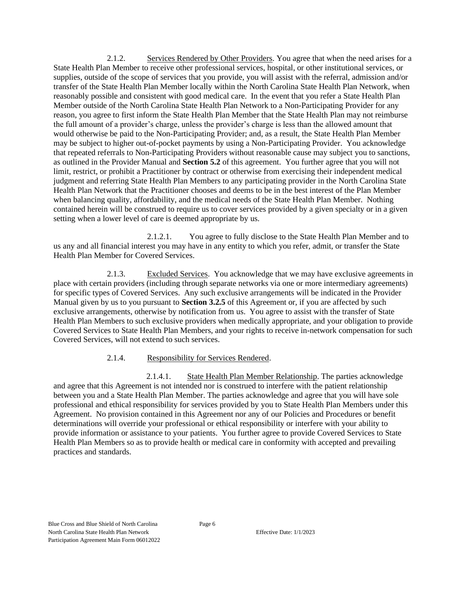2.1.2. Services Rendered by Other Providers. You agree that when the need arises for a State Health Plan Member to receive other professional services, hospital, or other institutional services, or supplies, outside of the scope of services that you provide, you will assist with the referral, admission and/or transfer of the State Health Plan Member locally within the North Carolina State Health Plan Network, when reasonably possible and consistent with good medical care. In the event that you refer a State Health Plan Member outside of the North Carolina State Health Plan Network to a Non-Participating Provider for any reason, you agree to first inform the State Health Plan Member that the State Health Plan may not reimburse the full amount of a provider's charge, unless the provider's charge is less than the allowed amount that would otherwise be paid to the Non-Participating Provider; and, as a result, the State Health Plan Member may be subject to higher out-of-pocket payments by using a Non-Participating Provider. You acknowledge that repeated referrals to Non-Participating Providers without reasonable cause may subject you to sanctions, as outlined in the Provider Manual and **Section 5.2** of this agreement. You further agree that you will not limit, restrict, or prohibit a Practitioner by contract or otherwise from exercising their independent medical judgment and referring State Health Plan Members to any participating provider in the North Carolina State Health Plan Network that the Practitioner chooses and deems to be in the best interest of the Plan Member when balancing quality, affordability, and the medical needs of the State Health Plan Member. Nothing contained herein will be construed to require us to cover services provided by a given specialty or in a given setting when a lower level of care is deemed appropriate by us.

2.1.2.1. You agree to fully disclose to the State Health Plan Member and to us any and all financial interest you may have in any entity to which you refer, admit, or transfer the State Health Plan Member for Covered Services.

2.1.3. Excluded Services. You acknowledge that we may have exclusive agreements in place with certain providers (including through separate networks via one or more intermediary agreements) for specific types of Covered Services. Any such exclusive arrangements will be indicated in the Provider Manual given by us to you pursuant to **Section 3.2.5** of this Agreement or, if you are affected by such exclusive arrangements, otherwise by notification from us. You agree to assist with the transfer of State Health Plan Members to such exclusive providers when medically appropriate, and your obligation to provide Covered Services to State Health Plan Members, and your rights to receive in-network compensation for such Covered Services, will not extend to such services.

## 2.1.4. Responsibility for Services Rendered.

2.1.4.1. State Health Plan Member Relationship. The parties acknowledge and agree that this Agreement is not intended nor is construed to interfere with the patient relationship between you and a State Health Plan Member. The parties acknowledge and agree that you will have sole professional and ethical responsibility for services provided by you to State Health Plan Members under this Agreement. No provision contained in this Agreement nor any of our Policies and Procedures or benefit determinations will override your professional or ethical responsibility or interfere with your ability to provide information or assistance to your patients. You further agree to provide Covered Services to State Health Plan Members so as to provide health or medical care in conformity with accepted and prevailing practices and standards.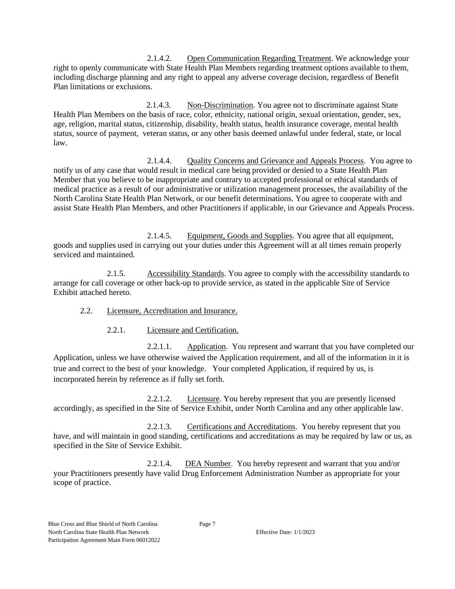2.1.4.2. Open Communication Regarding Treatment. We acknowledge your right to openly communicate with State Health Plan Members regarding treatment options available to them, including discharge planning and any right to appeal any adverse coverage decision, regardless of Benefit Plan limitations or exclusions.

2.1.4.3. Non-Discrimination. You agree not to discriminate against State Health Plan Members on the basis of race, color, ethnicity, national origin, sexual orientation, gender, sex, age, religion, marital status, citizenship, disability, health status, health insurance coverage, mental health status, source of payment, veteran status, or any other basis deemed unlawful under federal, state, or local law.

2.1.4.4. Quality Concerns and Grievance and Appeals Process. You agree to notify us of any case that would result in medical care being provided or denied to a State Health Plan Member that you believe to be inappropriate and contrary to accepted professional or ethical standards of medical practice as a result of our administrative or utilization management processes, the availability of the North Carolina State Health Plan Network, or our benefit determinations. You agree to cooperate with and assist State Health Plan Members, and other Practitioners if applicable, in our Grievance and Appeals Process.

2.1.4.5. Equipment, Goods and Supplies. You agree that all equipment, goods and supplies used in carrying out your duties under this Agreement will at all times remain properly serviced and maintained.

2.1.5. Accessibility Standards. You agree to comply with the accessibility standards to arrange for call coverage or other back-up to provide service, as stated in the applicable Site of Service Exhibit attached hereto.

- 2.2. Licensure, Accreditation and Insurance.
	- 2.2.1. Licensure and Certification.

2.2.1.1. Application. You represent and warrant that you have completed our Application, unless we have otherwise waived the Application requirement, and all of the information in it is true and correct to the best of your knowledge. Your completed Application, if required by us, is incorporated herein by reference as if fully set forth.

2.2.1.2. Licensure. You hereby represent that you are presently licensed accordingly, as specified in the Site of Service Exhibit, under North Carolina and any other applicable law.

2.2.1.3. Certifications and Accreditations. You hereby represent that you have, and will maintain in good standing, certifications and accreditations as may be required by law or us, as specified in the Site of Service Exhibit.

2.2.1.4. DEA Number. You hereby represent and warrant that you and/or your Practitioners presently have valid Drug Enforcement Administration Number as appropriate for your scope of practice.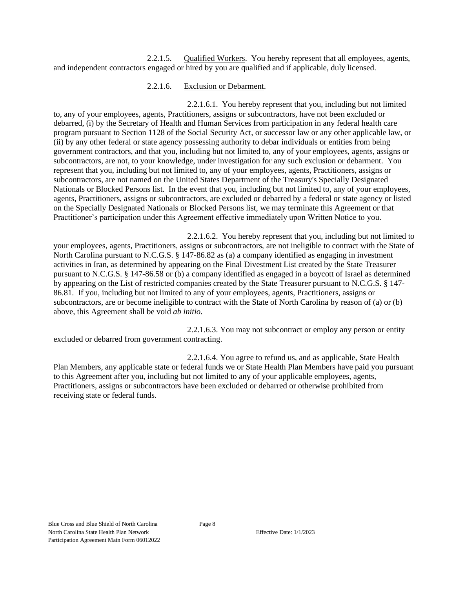2.2.1.5. Qualified Workers. You hereby represent that all employees, agents, and independent contractors engaged or hired by you are qualified and if applicable, duly licensed.

#### 2.2.1.6. Exclusion or Debarment.

2.2.1.6.1. You hereby represent that you, including but not limited to, any of your employees, agents, Practitioners, assigns or subcontractors, have not been excluded or debarred, (i) by the Secretary of Health and Human Services from participation in any federal health care program pursuant to Section 1128 of the Social Security Act, or successor law or any other applicable law, or (ii) by any other federal or state agency possessing authority to debar individuals or entities from being government contractors, and that you, including but not limited to, any of your employees, agents, assigns or subcontractors, are not, to your knowledge, under investigation for any such exclusion or debarment. You represent that you, including but not limited to, any of your employees, agents, Practitioners, assigns or subcontractors, are not named on the United States Department of the Treasury's Specially Designated Nationals or Blocked Persons list. In the event that you, including but not limited to, any of your employees, agents, Practitioners, assigns or subcontractors, are excluded or debarred by a federal or state agency or listed on the Specially Designated Nationals or Blocked Persons list, we may terminate this Agreement or that Practitioner's participation under this Agreement effective immediately upon Written Notice to you.

2.2.1.6.2. You hereby represent that you, including but not limited to your employees, agents, Practitioners, assigns or subcontractors, are not ineligible to contract with the State of North Carolina pursuant to N.C.G.S. § 147-86.82 as (a) a company identified as engaging in investment activities in Iran, as determined by appearing on the Final Divestment List created by the State Treasurer pursuant to N.C.G.S. § 147-86.58 or (b) a company identified as engaged in a boycott of Israel as determined by appearing on the List of restricted companies created by the State Treasurer pursuant to N.C.G.S. § 147- 86.81. If you, including but not limited to any of your employees, agents, Practitioners, assigns or subcontractors, are or become ineligible to contract with the State of North Carolina by reason of (a) or (b) above, this Agreement shall be void *ab initio*.

2.2.1.6.3. You may not subcontract or employ any person or entity excluded or debarred from government contracting.

2.2.1.6.4. You agree to refund us, and as applicable, State Health Plan Members, any applicable state or federal funds we or State Health Plan Members have paid you pursuant to this Agreement after you, including but not limited to any of your applicable employees, agents, Practitioners, assigns or subcontractors have been excluded or debarred or otherwise prohibited from receiving state or federal funds.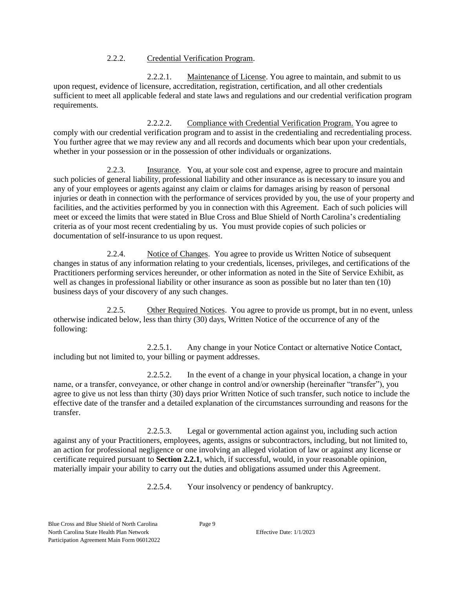#### 2.2.2. Credential Verification Program.

2.2.2.1. Maintenance of License. You agree to maintain, and submit to us upon request, evidence of licensure, accreditation, registration, certification, and all other credentials sufficient to meet all applicable federal and state laws and regulations and our credential verification program requirements.

2.2.2.2. Compliance with Credential Verification Program. You agree to comply with our credential verification program and to assist in the credentialing and recredentialing process. You further agree that we may review any and all records and documents which bear upon your credentials, whether in your possession or in the possession of other individuals or organizations.

2.2.3. Insurance. You, at your sole cost and expense, agree to procure and maintain such policies of general liability, professional liability and other insurance as is necessary to insure you and any of your employees or agents against any claim or claims for damages arising by reason of personal injuries or death in connection with the performance of services provided by you, the use of your property and facilities, and the activities performed by you in connection with this Agreement. Each of such policies will meet or exceed the limits that were stated in Blue Cross and Blue Shield of North Carolina's credentialing criteria as of your most recent credentialing by us. You must provide copies of such policies or documentation of self-insurance to us upon request.

2.2.4. Notice of Changes. You agree to provide us Written Notice of subsequent changes in status of any information relating to your credentials, licenses, privileges, and certifications of the Practitioners performing services hereunder, or other information as noted in the Site of Service Exhibit, as well as changes in professional liability or other insurance as soon as possible but no later than ten (10) business days of your discovery of any such changes.

2.2.5. Other Required Notices. You agree to provide us prompt, but in no event, unless otherwise indicated below, less than thirty (30) days, Written Notice of the occurrence of any of the following:

2.2.5.1. Any change in your Notice Contact or alternative Notice Contact, including but not limited to, your billing or payment addresses.

2.2.5.2. In the event of a change in your physical location, a change in your name, or a transfer, conveyance, or other change in control and/or ownership (hereinafter "transfer"), you agree to give us not less than thirty (30) days prior Written Notice of such transfer, such notice to include the effective date of the transfer and a detailed explanation of the circumstances surrounding and reasons for the transfer.

2.2.5.3. Legal or governmental action against you, including such action against any of your Practitioners, employees, agents, assigns or subcontractors, including, but not limited to, an action for professional negligence or one involving an alleged violation of law or against any license or certificate required pursuant to **Section 2.2.1**, which, if successful, would, in your reasonable opinion, materially impair your ability to carry out the duties and obligations assumed under this Agreement.

2.2.5.4. Your insolvency or pendency of bankruptcy.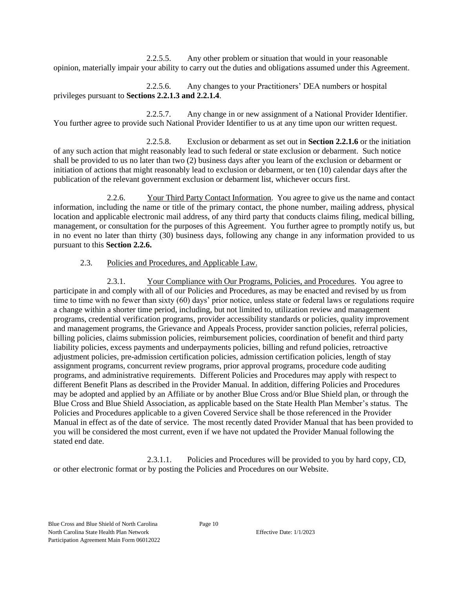2.2.5.5. Any other problem or situation that would in your reasonable opinion, materially impair your ability to carry out the duties and obligations assumed under this Agreement.

2.2.5.6. Any changes to your Practitioners' DEA numbers or hospital privileges pursuant to **Sections 2.2.1.3 and 2.2.1.4**.

2.2.5.7. Any change in or new assignment of a National Provider Identifier. You further agree to provide such National Provider Identifier to us at any time upon our written request.

2.2.5.8. Exclusion or debarment as set out in **Section 2.2.1.6** or the initiation of any such action that might reasonably lead to such federal or state exclusion or debarment. Such notice shall be provided to us no later than two (2) business days after you learn of the exclusion or debarment or initiation of actions that might reasonably lead to exclusion or debarment, or ten (10) calendar days after the publication of the relevant government exclusion or debarment list, whichever occurs first.

2.2.6. Your Third Party Contact Information. You agree to give us the name and contact information, including the name or title of the primary contact, the phone number, mailing address, physical location and applicable electronic mail address, of any third party that conducts claims filing, medical billing, management, or consultation for the purposes of this Agreement. You further agree to promptly notify us, but in no event no later than thirty (30) business days, following any change in any information provided to us pursuant to this **Section 2.2.6.**

### 2.3. Policies and Procedures, and Applicable Law.

2.3.1. Your Compliance with Our Programs, Policies, and Procedures. You agree to participate in and comply with all of our Policies and Procedures, as may be enacted and revised by us from time to time with no fewer than sixty (60) days' prior notice, unless state or federal laws or regulations require a change within a shorter time period, including, but not limited to, utilization review and management programs, credential verification programs, provider accessibility standards or policies, quality improvement and management programs, the Grievance and Appeals Process, provider sanction policies, referral policies, billing policies, claims submission policies, reimbursement policies, coordination of benefit and third party liability policies, excess payments and underpayments policies, billing and refund policies, retroactive adjustment policies, pre-admission certification policies, admission certification policies, length of stay assignment programs, concurrent review programs, prior approval programs, procedure code auditing programs, and administrative requirements. Different Policies and Procedures may apply with respect to different Benefit Plans as described in the Provider Manual. In addition, differing Policies and Procedures may be adopted and applied by an Affiliate or by another Blue Cross and/or Blue Shield plan, or through the Blue Cross and Blue Shield Association, as applicable based on the State Health Plan Member's status. The Policies and Procedures applicable to a given Covered Service shall be those referenced in the Provider Manual in effect as of the date of service. The most recently dated Provider Manual that has been provided to you will be considered the most current, even if we have not updated the Provider Manual following the stated end date.

2.3.1.1. Policies and Procedures will be provided to you by hard copy, CD, or other electronic format or by posting the Policies and Procedures on our Website.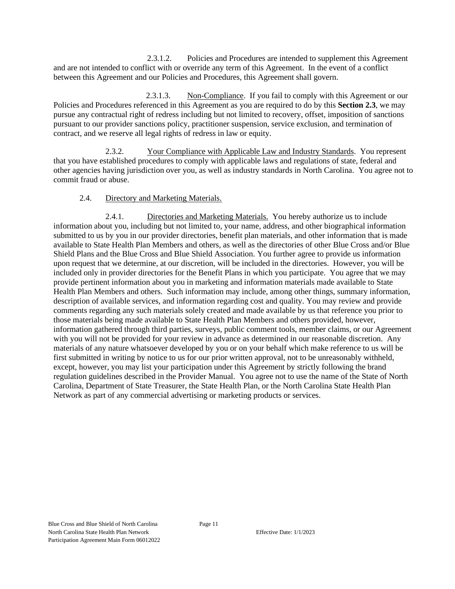2.3.1.2. Policies and Procedures are intended to supplement this Agreement and are not intended to conflict with or override any term of this Agreement. In the event of a conflict between this Agreement and our Policies and Procedures, this Agreement shall govern.

 2.3.1.3. Non-Compliance. If you fail to comply with this Agreement or our Policies and Procedures referenced in this Agreement as you are required to do by this **Section 2.3**, we may pursue any contractual right of redress including but not limited to recovery, offset, imposition of sanctions pursuant to our provider sanctions policy, practitioner suspension, service exclusion, and termination of contract, and we reserve all legal rights of redress in law or equity.

2.3.2. Your Compliance with Applicable Law and Industry Standards. You represent that you have established procedures to comply with applicable laws and regulations of state, federal and other agencies having jurisdiction over you, as well as industry standards in North Carolina. You agree not to commit fraud or abuse.

### 2.4. Directory and Marketing Materials.

2.4.1. Directories and Marketing Materials. You hereby authorize us to include information about you, including but not limited to, your name, address, and other biographical information submitted to us by you in our provider directories, benefit plan materials, and other information that is made available to State Health Plan Members and others, as well as the directories of other Blue Cross and/or Blue Shield Plans and the Blue Cross and Blue Shield Association. You further agree to provide us information upon request that we determine, at our discretion, will be included in the directories. However, you will be included only in provider directories for the Benefit Plans in which you participate. You agree that we may provide pertinent information about you in marketing and information materials made available to State Health Plan Members and others. Such information may include, among other things, summary information, description of available services, and information regarding cost and quality. You may review and provide comments regarding any such materials solely created and made available by us that reference you prior to those materials being made available to State Health Plan Members and others provided, however, information gathered through third parties, surveys, public comment tools, member claims, or our Agreement with you will not be provided for your review in advance as determined in our reasonable discretion. Any materials of any nature whatsoever developed by you or on your behalf which make reference to us will be first submitted in writing by notice to us for our prior written approval, not to be unreasonably withheld, except, however, you may list your participation under this Agreement by strictly following the brand regulation guidelines described in the Provider Manual. You agree not to use the name of the State of North Carolina, Department of State Treasurer, the State Health Plan, or the North Carolina State Health Plan Network as part of any commercial advertising or marketing products or services.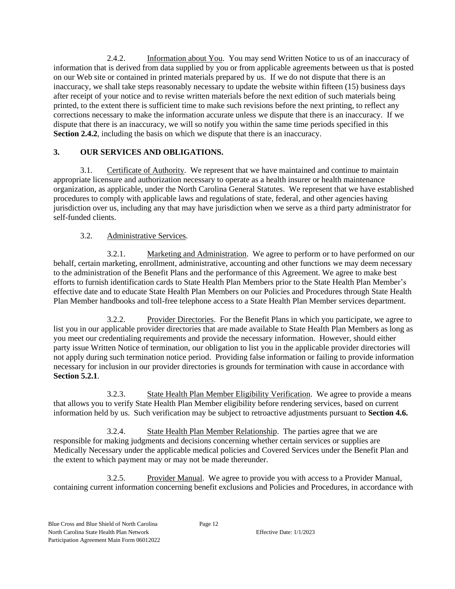2.4.2. Information about You. You may send Written Notice to us of an inaccuracy of information that is derived from data supplied by you or from applicable agreements between us that is posted on our Web site or contained in printed materials prepared by us. If we do not dispute that there is an inaccuracy, we shall take steps reasonably necessary to update the website within fifteen (15) business days after receipt of your notice and to revise written materials before the next edition of such materials being printed, to the extent there is sufficient time to make such revisions before the next printing, to reflect any corrections necessary to make the information accurate unless we dispute that there is an inaccuracy. If we dispute that there is an inaccuracy, we will so notify you within the same time periods specified in this **Section 2.4.2**, including the basis on which we dispute that there is an inaccuracy.

# **3. OUR SERVICES AND OBLIGATIONS.**

3.1. Certificate of Authority. We represent that we have maintained and continue to maintain appropriate licensure and authorization necessary to operate as a health insurer or health maintenance organization, as applicable, under the North Carolina General Statutes. We represent that we have established procedures to comply with applicable laws and regulations of state, federal, and other agencies having jurisdiction over us, including any that may have jurisdiction when we serve as a third party administrator for self-funded clients.

# 3.2. Administrative Services.

3.2.1. Marketing and Administration. We agree to perform or to have performed on our behalf, certain marketing, enrollment, administrative, accounting and other functions we may deem necessary to the administration of the Benefit Plans and the performance of this Agreement. We agree to make best efforts to furnish identification cards to State Health Plan Members prior to the State Health Plan Member's effective date and to educate State Health Plan Members on our Policies and Procedures through State Health Plan Member handbooks and toll-free telephone access to a State Health Plan Member services department.

3.2.2. Provider Directories. For the Benefit Plans in which you participate, we agree to list you in our applicable provider directories that are made available to State Health Plan Members as long as you meet our credentialing requirements and provide the necessary information. However, should either party issue Written Notice of termination, our obligation to list you in the applicable provider directories will not apply during such termination notice period. Providing false information or failing to provide information necessary for inclusion in our provider directories is grounds for termination with cause in accordance with **Section 5.2.1**.

3.2.3. State Health Plan Member Eligibility Verification. We agree to provide a means that allows you to verify State Health Plan Member eligibility before rendering services, based on current information held by us. Such verification may be subject to retroactive adjustments pursuant to **Section 4.6.**

3.2.4. State Health Plan Member Relationship. The parties agree that we are responsible for making judgments and decisions concerning whether certain services or supplies are Medically Necessary under the applicable medical policies and Covered Services under the Benefit Plan and the extent to which payment may or may not be made thereunder.

3.2.5. Provider Manual. We agree to provide you with access to a Provider Manual, containing current information concerning benefit exclusions and Policies and Procedures, in accordance with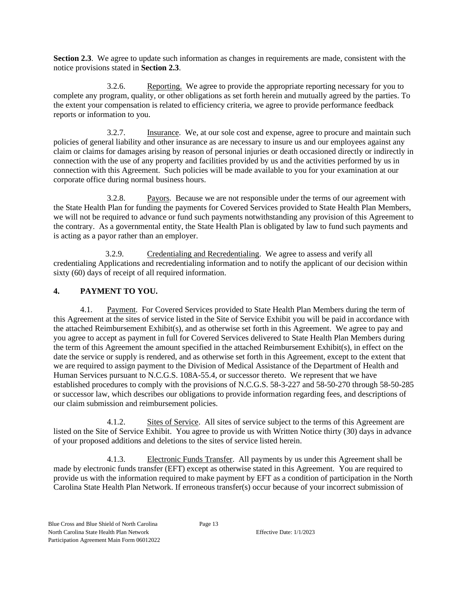**Section 2.3**. We agree to update such information as changes in requirements are made, consistent with the notice provisions stated in **Section 2.3**.

3.2.6. Reporting. We agree to provide the appropriate reporting necessary for you to complete any program, quality, or other obligations as set forth herein and mutually agreed by the parties. To the extent your compensation is related to efficiency criteria, we agree to provide performance feedback reports or information to you.

3.2.7. Insurance. We, at our sole cost and expense, agree to procure and maintain such policies of general liability and other insurance as are necessary to insure us and our employees against any claim or claims for damages arising by reason of personal injuries or death occasioned directly or indirectly in connection with the use of any property and facilities provided by us and the activities performed by us in connection with this Agreement. Such policies will be made available to you for your examination at our corporate office during normal business hours.

3.2.8. Payors. Because we are not responsible under the terms of our agreement with the State Health Plan for funding the payments for Covered Services provided to State Health Plan Members, we will not be required to advance or fund such payments notwithstanding any provision of this Agreement to the contrary. As a governmental entity, the State Health Plan is obligated by law to fund such payments and is acting as a payor rather than an employer.

3.2.9. Credentialing and Recredentialing. We agree to assess and verify all credentialing Applications and recredentialing information and to notify the applicant of our decision within sixty (60) days of receipt of all required information.

### **4. PAYMENT TO YOU.**

4.1. Payment. For Covered Services provided to State Health Plan Members during the term of this Agreement at the sites of service listed in the Site of Service Exhibit you will be paid in accordance with the attached Reimbursement Exhibit(s), and as otherwise set forth in this Agreement. We agree to pay and you agree to accept as payment in full for Covered Services delivered to State Health Plan Members during the term of this Agreement the amount specified in the attached Reimbursement Exhibit(s), in effect on the date the service or supply is rendered, and as otherwise set forth in this Agreement, except to the extent that we are required to assign payment to the Division of Medical Assistance of the Department of Health and Human Services pursuant to N.C.G.S. 108A-55.4, or successor thereto. We represent that we have established procedures to comply with the provisions of N.C.G.S. 58-3-227 and 58-50-270 through 58-50-285 or successor law, which describes our obligations to provide information regarding fees, and descriptions of our claim submission and reimbursement policies.

4.1.2. Sites of Service. All sites of service subject to the terms of this Agreement are listed on the Site of Service Exhibit. You agree to provide us with Written Notice thirty (30) days in advance of your proposed additions and deletions to the sites of service listed herein.

4.1.3. Electronic Funds Transfer. All payments by us under this Agreement shall be made by electronic funds transfer (EFT) except as otherwise stated in this Agreement. You are required to provide us with the information required to make payment by EFT as a condition of participation in the North Carolina State Health Plan Network. If erroneous transfer(s) occur because of your incorrect submission of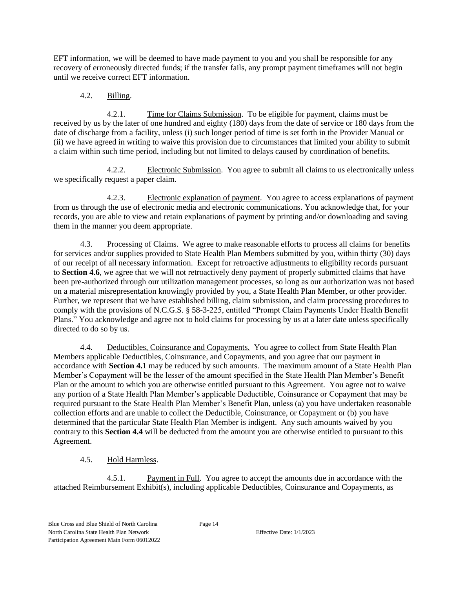EFT information, we will be deemed to have made payment to you and you shall be responsible for any recovery of erroneously directed funds; if the transfer fails, any prompt payment timeframes will not begin until we receive correct EFT information.

# 4.2. Billing.

4.2.1. Time for Claims Submission. To be eligible for payment, claims must be received by us by the later of one hundred and eighty (180) days from the date of service or 180 days from the date of discharge from a facility, unless (i) such longer period of time is set forth in the Provider Manual or (ii) we have agreed in writing to waive this provision due to circumstances that limited your ability to submit a claim within such time period, including but not limited to delays caused by coordination of benefits.

4.2.2. Electronic Submission. You agree to submit all claims to us electronically unless we specifically request a paper claim.

4.2.3. Electronic explanation of payment. You agree to access explanations of payment from us through the use of electronic media and electronic communications. You acknowledge that, for your records, you are able to view and retain explanations of payment by printing and/or downloading and saving them in the manner you deem appropriate.

4.3. Processing of Claims. We agree to make reasonable efforts to process all claims for benefits for services and/or supplies provided to State Health Plan Members submitted by you, within thirty (30) days of our receipt of all necessary information. Except for retroactive adjustments to eligibility records pursuant to **Section 4.6**, we agree that we will not retroactively deny payment of properly submitted claims that have been pre-authorized through our utilization management processes, so long as our authorization was not based on a material misrepresentation knowingly provided by you, a State Health Plan Member, or other provider. Further, we represent that we have established billing, claim submission, and claim processing procedures to comply with the provisions of N.C.G.S. § 58-3-225, entitled "Prompt Claim Payments Under Health Benefit Plans." You acknowledge and agree not to hold claims for processing by us at a later date unless specifically directed to do so by us.

4.4. Deductibles, Coinsurance and Copayments. You agree to collect from State Health Plan Members applicable Deductibles, Coinsurance, and Copayments, and you agree that our payment in accordance with **Section 4.1** may be reduced by such amounts. The maximum amount of a State Health Plan Member's Copayment will be the lesser of the amount specified in the State Health Plan Member's Benefit Plan or the amount to which you are otherwise entitled pursuant to this Agreement. You agree not to waive any portion of a State Health Plan Member's applicable Deductible, Coinsurance or Copayment that may be required pursuant to the State Health Plan Member's Benefit Plan, unless (a) you have undertaken reasonable collection efforts and are unable to collect the Deductible, Coinsurance, or Copayment or (b) you have determined that the particular State Health Plan Member is indigent. Any such amounts waived by you contrary to this **Section 4.4** will be deducted from the amount you are otherwise entitled to pursuant to this Agreement.

## 4.5. Hold Harmless.

4.5.1. Payment in Full. You agree to accept the amounts due in accordance with the attached Reimbursement Exhibit(s), including applicable Deductibles, Coinsurance and Copayments, as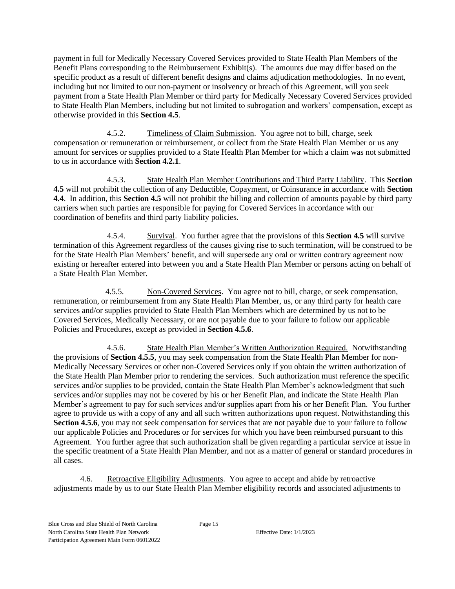payment in full for Medically Necessary Covered Services provided to State Health Plan Members of the Benefit Plans corresponding to the Reimbursement Exhibit(s). The amounts due may differ based on the specific product as a result of different benefit designs and claims adjudication methodologies. In no event, including but not limited to our non-payment or insolvency or breach of this Agreement, will you seek payment from a State Health Plan Member or third party for Medically Necessary Covered Services provided to State Health Plan Members, including but not limited to subrogation and workers' compensation, except as otherwise provided in this **Section 4.5**.

4.5.2. Timeliness of Claim Submission. You agree not to bill, charge, seek compensation or remuneration or reimbursement, or collect from the State Health Plan Member or us any amount for services or supplies provided to a State Health Plan Member for which a claim was not submitted to us in accordance with **Section 4.2.1**.

4.5.3. State Health Plan Member Contributions and Third Party Liability. This **Section 4.5** will not prohibit the collection of any Deductible, Copayment, or Coinsurance in accordance with **Section 4.4**. In addition, this **Section 4.5** will not prohibit the billing and collection of amounts payable by third party carriers when such parties are responsible for paying for Covered Services in accordance with our coordination of benefits and third party liability policies.

4.5.4. Survival. You further agree that the provisions of this **Section 4.5** will survive termination of this Agreement regardless of the causes giving rise to such termination, will be construed to be for the State Health Plan Members' benefit, and will supersede any oral or written contrary agreement now existing or hereafter entered into between you and a State Health Plan Member or persons acting on behalf of a State Health Plan Member.

4.5.5. Non-Covered Services. You agree not to bill, charge, or seek compensation, remuneration, or reimbursement from any State Health Plan Member, us, or any third party for health care services and/or supplies provided to State Health Plan Members which are determined by us not to be Covered Services, Medically Necessary, or are not payable due to your failure to follow our applicable Policies and Procedures, except as provided in **Section 4.5.6**.

4.5.6. State Health Plan Member's Written Authorization Required. Notwithstanding the provisions of **Section 4.5.5**, you may seek compensation from the State Health Plan Member for non-Medically Necessary Services or other non-Covered Services only if you obtain the written authorization of the State Health Plan Member prior to rendering the services. Such authorization must reference the specific services and/or supplies to be provided, contain the State Health Plan Member's acknowledgment that such services and/or supplies may not be covered by his or her Benefit Plan, and indicate the State Health Plan Member's agreement to pay for such services and/or supplies apart from his or her Benefit Plan. You further agree to provide us with a copy of any and all such written authorizations upon request. Notwithstanding this **Section 4.5.6**, you may not seek compensation for services that are not payable due to your failure to follow our applicable Policies and Procedures or for services for which you have been reimbursed pursuant to this Agreement. You further agree that such authorization shall be given regarding a particular service at issue in the specific treatment of a State Health Plan Member, and not as a matter of general or standard procedures in all cases.

4.6. Retroactive Eligibility Adjustments. You agree to accept and abide by retroactive adjustments made by us to our State Health Plan Member eligibility records and associated adjustments to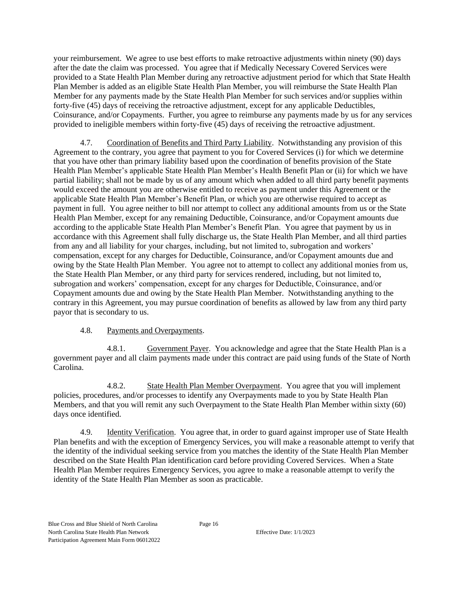your reimbursement. We agree to use best efforts to make retroactive adjustments within ninety (90) days after the date the claim was processed. You agree that if Medically Necessary Covered Services were provided to a State Health Plan Member during any retroactive adjustment period for which that State Health Plan Member is added as an eligible State Health Plan Member, you will reimburse the State Health Plan Member for any payments made by the State Health Plan Member for such services and/or supplies within forty-five (45) days of receiving the retroactive adjustment, except for any applicable Deductibles, Coinsurance, and/or Copayments. Further, you agree to reimburse any payments made by us for any services provided to ineligible members within forty-five (45) days of receiving the retroactive adjustment.

4.7. Coordination of Benefits and Third Party Liability. Notwithstanding any provision of this Agreement to the contrary, you agree that payment to you for Covered Services (i) for which we determine that you have other than primary liability based upon the coordination of benefits provision of the State Health Plan Member's applicable State Health Plan Member's Health Benefit Plan or (ii) for which we have partial liability; shall not be made by us of any amount which when added to all third party benefit payments would exceed the amount you are otherwise entitled to receive as payment under this Agreement or the applicable State Health Plan Member's Benefit Plan, or which you are otherwise required to accept as payment in full. You agree neither to bill nor attempt to collect any additional amounts from us or the State Health Plan Member, except for any remaining Deductible, Coinsurance, and/or Copayment amounts due according to the applicable State Health Plan Member's Benefit Plan. You agree that payment by us in accordance with this Agreement shall fully discharge us, the State Health Plan Member, and all third parties from any and all liability for your charges, including, but not limited to, subrogation and workers' compensation, except for any charges for Deductible, Coinsurance, and/or Copayment amounts due and owing by the State Health Plan Member. You agree not to attempt to collect any additional monies from us, the State Health Plan Member, or any third party for services rendered, including, but not limited to, subrogation and workers' compensation, except for any charges for Deductible, Coinsurance, and/or Copayment amounts due and owing by the State Health Plan Member. Notwithstanding anything to the contrary in this Agreement, you may pursue coordination of benefits as allowed by law from any third party payor that is secondary to us.

## 4.8. Payments and Overpayments.

4.8.1. Government Payer. You acknowledge and agree that the State Health Plan is a government payer and all claim payments made under this contract are paid using funds of the State of North Carolina.

4.8.2. State Health Plan Member Overpayment. You agree that you will implement policies, procedures, and/or processes to identify any Overpayments made to you by State Health Plan Members, and that you will remit any such Overpayment to the State Health Plan Member within sixty (60) days once identified.

4.9. Identity Verification. You agree that, in order to guard against improper use of State Health Plan benefits and with the exception of Emergency Services, you will make a reasonable attempt to verify that the identity of the individual seeking service from you matches the identity of the State Health Plan Member described on the State Health Plan identification card before providing Covered Services. When a State Health Plan Member requires Emergency Services, you agree to make a reasonable attempt to verify the identity of the State Health Plan Member as soon as practicable.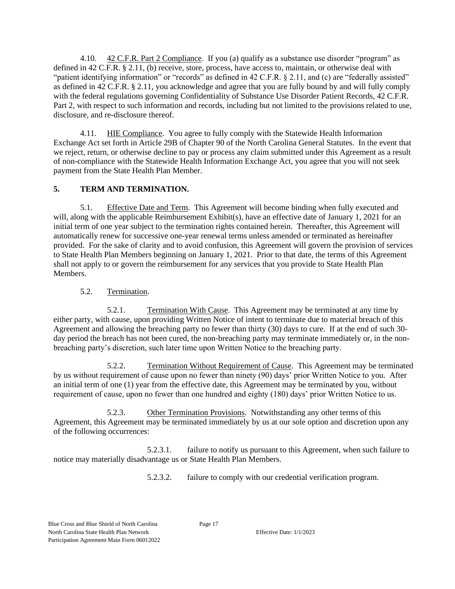4.10. 42 C.F.R. Part 2 Compliance. If you (a) qualify as a substance use disorder "program" as defined in 42 C.F.R. § 2.11, (b) receive, store, process, have access to, maintain, or otherwise deal with "patient identifying information" or "records" as defined in 42 C.F.R. § 2.11, and (c) are "federally assisted" as defined in 42 C.F.R. § 2.11, you acknowledge and agree that you are fully bound by and will fully comply with the federal regulations governing Confidentiality of Substance Use Disorder Patient Records, 42 C.F.R. Part 2, with respect to such information and records, including but not limited to the provisions related to use, disclosure, and re-disclosure thereof.

4.11. **HIE Compliance**. You agree to fully comply with the Statewide Health Information Exchange Act set forth in Article 29B of Chapter 90 of the North Carolina General Statutes. In the event that we reject, return, or otherwise decline to pay or process any claim submitted under this Agreement as a result of non-compliance with the Statewide Health Information Exchange Act, you agree that you will not seek payment from the State Health Plan Member.

### **5. TERM AND TERMINATION.**

5.1. Effective Date and Term. This Agreement will become binding when fully executed and will, along with the applicable Reimbursement Exhibit(s), have an effective date of January 1, 2021 for an initial term of one year subject to the termination rights contained herein. Thereafter, this Agreement will automatically renew for successive one-year renewal terms unless amended or terminated as hereinafter provided. For the sake of clarity and to avoid confusion, this Agreement will govern the provision of services to State Health Plan Members beginning on January 1, 2021. Prior to that date, the terms of this Agreement shall not apply to or govern the reimbursement for any services that you provide to State Health Plan Members.

### 5.2. Termination.

5.2.1. Termination With Cause. This Agreement may be terminated at any time by either party, with cause, upon providing Written Notice of intent to terminate due to material breach of this Agreement and allowing the breaching party no fewer than thirty (30) days to cure. If at the end of such 30 day period the breach has not been cured, the non-breaching party may terminate immediately or, in the nonbreaching party's discretion, such later time upon Written Notice to the breaching party.

5.2.2. Termination Without Requirement of Cause. This Agreement may be terminated by us without requirement of cause upon no fewer than ninety (90) days' prior Written Notice to you. After an initial term of one (1) year from the effective date, this Agreement may be terminated by you, without requirement of cause, upon no fewer than one hundred and eighty (180) days' prior Written Notice to us.

5.2.3. Other Termination Provisions. Notwithstanding any other terms of this Agreement, this Agreement may be terminated immediately by us at our sole option and discretion upon any of the following occurrences:

 5.2.3.1. failure to notify us pursuant to this Agreement, when such failure to notice may materially disadvantage us or State Health Plan Members.

5.2.3.2. failure to comply with our credential verification program.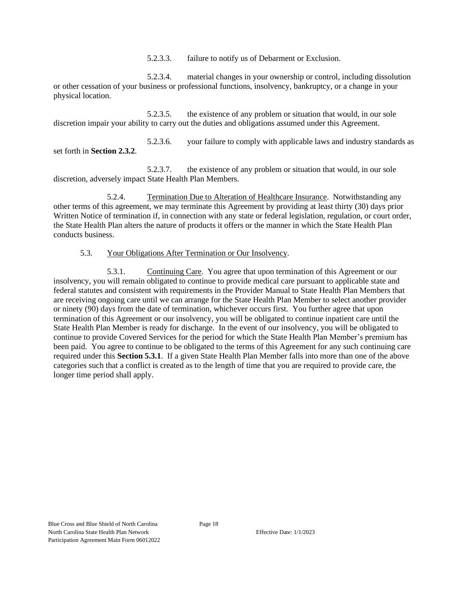5.2.3.3. failure to notify us of Debarment or Exclusion.

5.2.3.4. material changes in your ownership or control, including dissolution or other cessation of your business or professional functions, insolvency, bankruptcy, or a change in your physical location.

5.2.3.5. the existence of any problem or situation that would, in our sole discretion impair your ability to carry out the duties and obligations assumed under this Agreement.

5.2.3.6. your failure to comply with applicable laws and industry standards as set forth in **Section 2.3.2**.

 5.2.3.7. the existence of any problem or situation that would, in our sole discretion, adversely impact State Health Plan Members.

5.2.4. Termination Due to Alteration of Healthcare Insurance. Notwithstanding any other terms of this agreement, we may terminate this Agreement by providing at least thirty (30) days prior Written Notice of termination if, in connection with any state or federal legislation, regulation, or court order, the State Health Plan alters the nature of products it offers or the manner in which the State Health Plan conducts business.

### 5.3. Your Obligations After Termination or Our Insolvency.

5.3.1. Continuing Care. You agree that upon termination of this Agreement or our insolvency, you will remain obligated to continue to provide medical care pursuant to applicable state and federal statutes and consistent with requirements in the Provider Manual to State Health Plan Members that are receiving ongoing care until we can arrange for the State Health Plan Member to select another provider or ninety (90) days from the date of termination, whichever occurs first. You further agree that upon termination of this Agreement or our insolvency, you will be obligated to continue inpatient care until the State Health Plan Member is ready for discharge. In the event of our insolvency, you will be obligated to continue to provide Covered Services for the period for which the State Health Plan Member's premium has been paid. You agree to continue to be obligated to the terms of this Agreement for any such continuing care required under this **Section 5.3.1**. If a given State Health Plan Member falls into more than one of the above categories such that a conflict is created as to the length of time that you are required to provide care, the longer time period shall apply.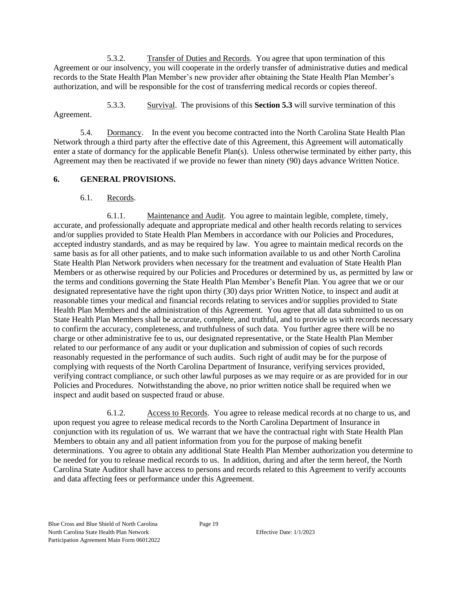5.3.2. Transfer of Duties and Records. You agree that upon termination of this Agreement or our insolvency, you will cooperate in the orderly transfer of administrative duties and medical records to the State Health Plan Member's new provider after obtaining the State Health Plan Member's authorization, and will be responsible for the cost of transferring medical records or copies thereof.

5.3.3. Survival. The provisions of this **Section 5.3** will survive termination of this Agreement.

5.4. Dormancy. In the event you become contracted into the North Carolina State Health Plan Network through a third party after the effective date of this Agreement, this Agreement will automatically enter a state of dormancy for the applicable Benefit Plan(s). Unless otherwise terminated by either party, this Agreement may then be reactivated if we provide no fewer than ninety (90) days advance Written Notice.

#### **6. GENERAL PROVISIONS.**

#### 6.1. Records.

6.1.1. Maintenance and Audit. You agree to maintain legible, complete, timely, accurate, and professionally adequate and appropriate medical and other health records relating to services and/or supplies provided to State Health Plan Members in accordance with our Policies and Procedures, accepted industry standards, and as may be required by law. You agree to maintain medical records on the same basis as for all other patients, and to make such information available to us and other North Carolina State Health Plan Network providers when necessary for the treatment and evaluation of State Health Plan Members or as otherwise required by our Policies and Procedures or determined by us, as permitted by law or the terms and conditions governing the State Health Plan Member's Benefit Plan. You agree that we or our designated representative have the right upon thirty (30) days prior Written Notice, to inspect and audit at reasonable times your medical and financial records relating to services and/or supplies provided to State Health Plan Members and the administration of this Agreement. You agree that all data submitted to us on State Health Plan Members shall be accurate, complete, and truthful, and to provide us with records necessary to confirm the accuracy, completeness, and truthfulness of such data. You further agree there will be no charge or other administrative fee to us, our designated representative, or the State Health Plan Member related to our performance of any audit or your duplication and submission of copies of such records reasonably requested in the performance of such audits. Such right of audit may be for the purpose of complying with requests of the North Carolina Department of Insurance, verifying services provided, verifying contract compliance, or such other lawful purposes as we may require or as are provided for in our Policies and Procedures. Notwithstanding the above, no prior written notice shall be required when we inspect and audit based on suspected fraud or abuse.

6.1.2. Access to Records. You agree to release medical records at no charge to us, and upon request you agree to release medical records to the North Carolina Department of Insurance in conjunction with its regulation of us. We warrant that we have the contractual right with State Health Plan Members to obtain any and all patient information from you for the purpose of making benefit determinations. You agree to obtain any additional State Health Plan Member authorization you determine to be needed for you to release medical records to us. In addition, during and after the term hereof, the North Carolina State Auditor shall have access to persons and records related to this Agreement to verify accounts and data affecting fees or performance under this Agreement.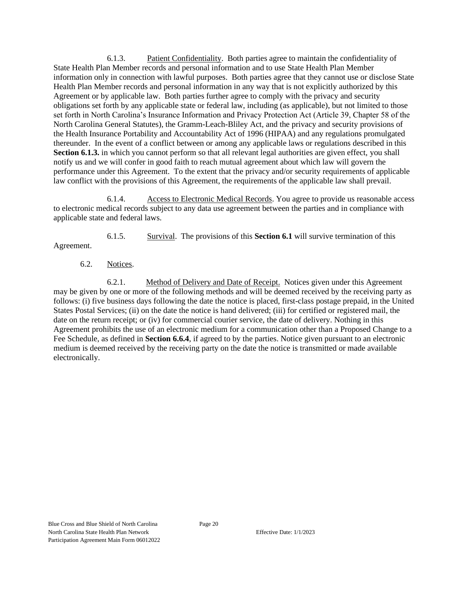6.1.3. Patient Confidentiality. Both parties agree to maintain the confidentiality of State Health Plan Member records and personal information and to use State Health Plan Member information only in connection with lawful purposes. Both parties agree that they cannot use or disclose State Health Plan Member records and personal information in any way that is not explicitly authorized by this Agreement or by applicable law. Both parties further agree to comply with the privacy and security obligations set forth by any applicable state or federal law, including (as applicable), but not limited to those set forth in North Carolina's Insurance Information and Privacy Protection Act (Article 39, Chapter 58 of the North Carolina General Statutes), the Gramm-Leach-Bliley Act, and the privacy and security provisions of the Health Insurance Portability and Accountability Act of 1996 (HIPAA) and any regulations promulgated thereunder. In the event of a conflict between or among any applicable laws or regulations described in this **Section 6.1.3.** in which you cannot perform so that all relevant legal authorities are given effect, you shall notify us and we will confer in good faith to reach mutual agreement about which law will govern the performance under this Agreement. To the extent that the privacy and/or security requirements of applicable law conflict with the provisions of this Agreement, the requirements of the applicable law shall prevail.

6.1.4. Access to Electronic Medical Records. You agree to provide us reasonable access to electronic medical records subject to any data use agreement between the parties and in compliance with applicable state and federal laws.

6.1.5. Survival. The provisions of this **Section 6.1** will survive termination of this Agreement.

6.2. Notices.

6.2.1. Method of Delivery and Date of Receipt.Notices given under this Agreement may be given by one or more of the following methods and will be deemed received by the receiving party as follows: (i) five business days following the date the notice is placed, first-class postage prepaid, in the United States Postal Services; (ii) on the date the notice is hand delivered; (iii) for certified or registered mail, the date on the return receipt; or (iv) for commercial courier service, the date of delivery. Nothing in this Agreement prohibits the use of an electronic medium for a communication other than a Proposed Change to a Fee Schedule, as defined in **Section 6.6.4**, if agreed to by the parties. Notice given pursuant to an electronic medium is deemed received by the receiving party on the date the notice is transmitted or made available electronically.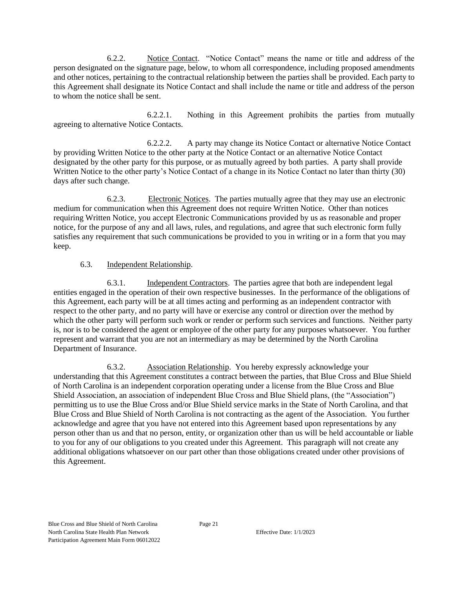6.2.2. Notice Contact. "Notice Contact" means the name or title and address of the person designated on the signature page, below, to whom all correspondence, including proposed amendments and other notices, pertaining to the contractual relationship between the parties shall be provided. Each party to this Agreement shall designate its Notice Contact and shall include the name or title and address of the person to whom the notice shall be sent.

6.2.2.1. Nothing in this Agreement prohibits the parties from mutually agreeing to alternative Notice Contacts.

6.2.2.2. A party may change its Notice Contact or alternative Notice Contact by providing Written Notice to the other party at the Notice Contact or an alternative Notice Contact designated by the other party for this purpose, or as mutually agreed by both parties. A party shall provide Written Notice to the other party's Notice Contact of a change in its Notice Contact no later than thirty (30) days after such change.

6.2.3. Electronic Notices. The parties mutually agree that they may use an electronic medium for communication when this Agreement does not require Written Notice. Other than notices requiring Written Notice, you accept Electronic Communications provided by us as reasonable and proper notice, for the purpose of any and all laws, rules, and regulations, and agree that such electronic form fully satisfies any requirement that such communications be provided to you in writing or in a form that you may keep.

## 6.3. Independent Relationship.

6.3.1. Independent Contractors. The parties agree that both are independent legal entities engaged in the operation of their own respective businesses. In the performance of the obligations of this Agreement, each party will be at all times acting and performing as an independent contractor with respect to the other party, and no party will have or exercise any control or direction over the method by which the other party will perform such work or render or perform such services and functions. Neither party is, nor is to be considered the agent or employee of the other party for any purposes whatsoever. You further represent and warrant that you are not an intermediary as may be determined by the North Carolina Department of Insurance.

6.3.2. Association Relationship. You hereby expressly acknowledge your understanding that this Agreement constitutes a contract between the parties, that Blue Cross and Blue Shield of North Carolina is an independent corporation operating under a license from the Blue Cross and Blue Shield Association, an association of independent Blue Cross and Blue Shield plans, (the "Association") permitting us to use the Blue Cross and/or Blue Shield service marks in the State of North Carolina, and that Blue Cross and Blue Shield of North Carolina is not contracting as the agent of the Association. You further acknowledge and agree that you have not entered into this Agreement based upon representations by any person other than us and that no person, entity, or organization other than us will be held accountable or liable to you for any of our obligations to you created under this Agreement. This paragraph will not create any additional obligations whatsoever on our part other than those obligations created under other provisions of this Agreement.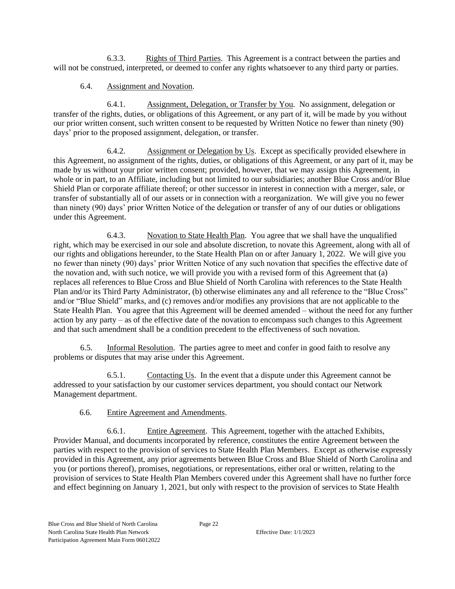6.3.3. Rights of Third Parties. This Agreement is a contract between the parties and will not be construed, interpreted, or deemed to confer any rights whatsoever to any third party or parties.

### 6.4. Assignment and Novation.

6.4.1. Assignment, Delegation, or Transfer by You. No assignment, delegation or transfer of the rights, duties, or obligations of this Agreement, or any part of it, will be made by you without our prior written consent, such written consent to be requested by Written Notice no fewer than ninety (90) days' prior to the proposed assignment, delegation, or transfer.

6.4.2. Assignment or Delegation by Us. Except as specifically provided elsewhere in this Agreement, no assignment of the rights, duties, or obligations of this Agreement, or any part of it, may be made by us without your prior written consent; provided, however, that we may assign this Agreement, in whole or in part, to an Affiliate, including but not limited to our subsidiaries; another Blue Cross and/or Blue Shield Plan or corporate affiliate thereof; or other successor in interest in connection with a merger, sale, or transfer of substantially all of our assets or in connection with a reorganization. We will give you no fewer than ninety (90) days' prior Written Notice of the delegation or transfer of any of our duties or obligations under this Agreement.

6.4.3. Novation to State Health Plan. You agree that we shall have the unqualified right, which may be exercised in our sole and absolute discretion, to novate this Agreement, along with all of our rights and obligations hereunder, to the State Health Plan on or after January 1, 2022. We will give you no fewer than ninety (90) days' prior Written Notice of any such novation that specifies the effective date of the novation and, with such notice, we will provide you with a revised form of this Agreement that (a) replaces all references to Blue Cross and Blue Shield of North Carolina with references to the State Health Plan and/or its Third Party Administrator, (b) otherwise eliminates any and all reference to the "Blue Cross" and/or "Blue Shield" marks, and (c) removes and/or modifies any provisions that are not applicable to the State Health Plan. You agree that this Agreement will be deemed amended – without the need for any further action by any party – as of the effective date of the novation to encompass such changes to this Agreement and that such amendment shall be a condition precedent to the effectiveness of such novation.

6.5. Informal Resolution. The parties agree to meet and confer in good faith to resolve any problems or disputes that may arise under this Agreement.

6.5.1. Contacting Us. In the event that a dispute under this Agreement cannot be addressed to your satisfaction by our customer services department, you should contact our Network Management department.

6.6. Entire Agreement and Amendments.

6.6.1. Entire Agreement. This Agreement, together with the attached Exhibits, Provider Manual, and documents incorporated by reference, constitutes the entire Agreement between the parties with respect to the provision of services to State Health Plan Members. Except as otherwise expressly provided in this Agreement, any prior agreements between Blue Cross and Blue Shield of North Carolina and you (or portions thereof), promises, negotiations, or representations, either oral or written, relating to the provision of services to State Health Plan Members covered under this Agreement shall have no further force and effect beginning on January 1, 2021, but only with respect to the provision of services to State Health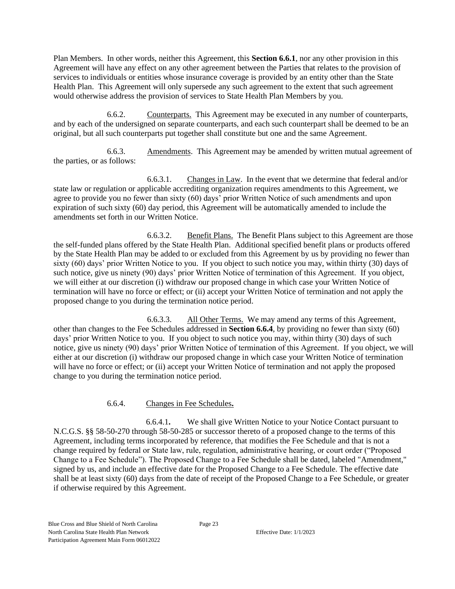Plan Members. In other words, neither this Agreement, this **Section 6.6.1**, nor any other provision in this Agreement will have any effect on any other agreement between the Parties that relates to the provision of services to individuals or entities whose insurance coverage is provided by an entity other than the State Health Plan. This Agreement will only supersede any such agreement to the extent that such agreement would otherwise address the provision of services to State Health Plan Members by you.

6.6.2. Counterparts. This Agreement may be executed in any number of counterparts, and by each of the undersigned on separate counterparts, and each such counterpart shall be deemed to be an original, but all such counterparts put together shall constitute but one and the same Agreement.

6.6.3. Amendments. This Agreement may be amended by written mutual agreement of the parties, or as follows:

6.6.3.1. Changes in Law. In the event that we determine that federal and/or state law or regulation or applicable accrediting organization requires amendments to this Agreement, we agree to provide you no fewer than sixty (60) days' prior Written Notice of such amendments and upon expiration of such sixty (60) day period, this Agreement will be automatically amended to include the amendments set forth in our Written Notice.

6.6.3.2. Benefit Plans. The Benefit Plans subject to this Agreement are those the self-funded plans offered by the State Health Plan. Additional specified benefit plans or products offered by the State Health Plan may be added to or excluded from this Agreement by us by providing no fewer than sixty (60) days' prior Written Notice to you. If you object to such notice you may, within thirty (30) days of such notice, give us ninety (90) days' prior Written Notice of termination of this Agreement. If you object, we will either at our discretion (i) withdraw our proposed change in which case your Written Notice of termination will have no force or effect; or (ii) accept your Written Notice of termination and not apply the proposed change to you during the termination notice period.

6.6.3.3. All Other Terms. We may amend any terms of this Agreement, other than changes to the Fee Schedules addressed in **Section 6.6.4**, by providing no fewer than sixty (60) days' prior Written Notice to you. If you object to such notice you may, within thirty (30) days of such notice, give us ninety (90) days' prior Written Notice of termination of this Agreement. If you object, we will either at our discretion (i) withdraw our proposed change in which case your Written Notice of termination will have no force or effect; or (ii) accept your Written Notice of termination and not apply the proposed change to you during the termination notice period.

#### 6.6.4. Changes in Fee Schedules**.**

 6.6.4.1**.** We shall give Written Notice to your Notice Contact pursuant to N.C.G.S. §§ 58-50-270 through 58-50-285 or successor thereto of a proposed change to the terms of this Agreement, including terms incorporated by reference, that modifies the Fee Schedule and that is not a change required by federal or State law, rule, regulation, administrative hearing, or court order ("Proposed Change to a Fee Schedule"). The Proposed Change to a Fee Schedule shall be dated, labeled "Amendment," signed by us, and include an effective date for the Proposed Change to a Fee Schedule. The effective date shall be at least sixty (60) days from the date of receipt of the Proposed Change to a Fee Schedule, or greater if otherwise required by this Agreement.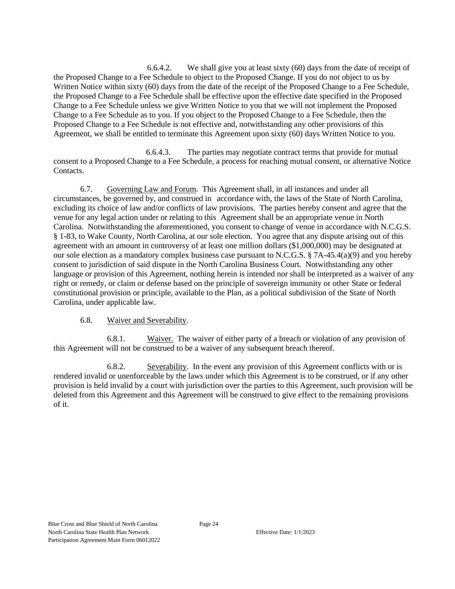6.6.4.2. We shall give you at least sixty (60) days from the date of receipt of the Proposed Change to a Fee Schedule to object to the Proposed Change. If you do not object to us by Written Notice within sixty (60) days from the date of the receipt of the Proposed Change to a Fee Schedule, the Proposed Change to a Fee Schedule shall be effective upon the effective date specified in the Proposed Change to a Fee Schedule unless we give Written Notice to you that we will not implement the Proposed Change to a Fee Schedule as to you. If you object to the Proposed Change to a Fee Schedule, then the Proposed Change to a Fee Schedule is not effective and, notwithstanding any other provisions of this Agreement, we shall be entitled to terminate this Agreement upon sixty (60) days Written Notice to you.

 6.6.4.3. The parties may negotiate contract terms that provide for mutual consent to a Proposed Change to a Fee Schedule, a process for reaching mutual consent, or alternative Notice Contacts.

6.7. Governing Law and Forum. This Agreement shall, in all instances and under all circumstances, be governed by, and construed in accordance with, the laws of the State of North Carolina, excluding its choice of law and/or conflicts of law provisions. The parties hereby consent and agree that the venue for any legal action under or relating to this Agreement shall be an appropriate venue in North Carolina. Notwithstanding the aforementioned, you consent to change of venue in accordance with N.C.G.S. § 1-83, to Wake County, North Carolina, at our sole election. You agree that any dispute arising out of this agreement with an amount in controversy of at least one million dollars (\$1,000,000) may be designated at our sole election as a mandatory complex business case pursuant to N.C.G.S. § 7A-45.4(a)(9) and you hereby consent to jurisdiction of said dispute in the North Carolina Business Court. Notwithstanding any other language or provision of this Agreement, nothing herein is intended nor shall be interpreted as a waiver of any right or remedy, or claim or defense based on the principle of sovereign immunity or other State or federal constitutional provision or principle, available to the Plan, as a political subdivision of the State of North Carolina, under applicable law.

#### 6.8. Waiver and Severability.

6.8.1. Waiver. The waiver of either party of a breach or violation of any provision of this Agreement will not be construed to be a waiver of any subsequent breach thereof.

6.8.2. Severability. In the event any provision of this Agreement conflicts with or is rendered invalid or unenforceable by the laws under which this Agreement is to be construed, or if any other provision is held invalid by a court with jurisdiction over the parties to this Agreement, such provision will be deleted from this Agreement and this Agreement will be construed to give effect to the remaining provisions of it.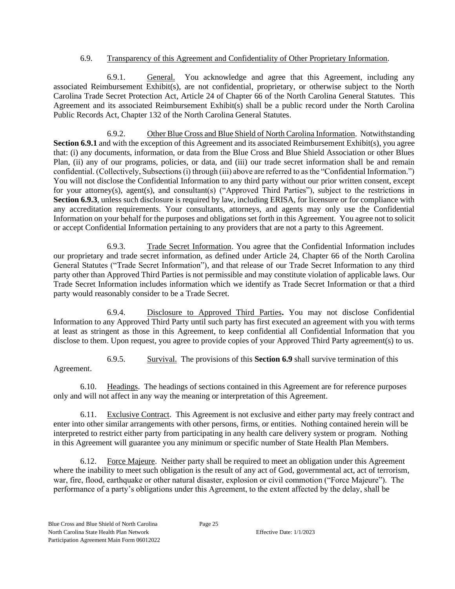#### 6.9. Transparency of this Agreement and Confidentiality of Other Proprietary Information.

6.9.1. General. You acknowledge and agree that this Agreement, including any associated Reimbursement Exhibit(s), are not confidential, proprietary, or otherwise subject to the North Carolina Trade Secret Protection Act, Article 24 of Chapter 66 of the North Carolina General Statutes. This Agreement and its associated Reimbursement Exhibit(s) shall be a public record under the North Carolina Public Records Act, Chapter 132 of the North Carolina General Statutes.

6.9.2. Other Blue Cross and Blue Shield of North Carolina Information. Notwithstanding **Section 6.9.1** and with the exception of this Agreement and its associated Reimbursement Exhibit(s), you agree that: (i) any documents, information, or data from the Blue Cross and Blue Shield Association or other Blues Plan, (ii) any of our programs, policies, or data, and (iii) our trade secret information shall be and remain confidential. (Collectively, Subsections (i) through (iii) above are referred to as the "Confidential Information.") You will not disclose the Confidential Information to any third party without our prior written consent, except for your attorney(s), agent(s), and consultant(s) ("Approved Third Parties"), subject to the restrictions in **Section 6.9.3**, unless such disclosure is required by law, including ERISA, for licensure or for compliance with any accreditation requirements. Your consultants, attorneys, and agents may only use the Confidential Information on your behalf for the purposes and obligations set forth in this Agreement. You agree not to solicit or accept Confidential Information pertaining to any providers that are not a party to this Agreement.

6.9.3. Trade Secret Information. You agree that the Confidential Information includes our proprietary and trade secret information, as defined under Article 24, Chapter 66 of the North Carolina General Statutes ("Trade Secret Information"), and that release of our Trade Secret Information to any third party other than Approved Third Parties is not permissible and may constitute violation of applicable laws. Our Trade Secret Information includes information which we identify as Trade Secret Information or that a third party would reasonably consider to be a Trade Secret.

6.9.4. Disclosure to Approved Third Parties**.** You may not disclose Confidential Information to any Approved Third Party until such party has first executed an agreement with you with terms at least as stringent as those in this Agreement, to keep confidential all Confidential Information that you disclose to them. Upon request, you agree to provide copies of your Approved Third Party agreement(s) to us.

6.9.5.Survival.The provisions of this **Section 6.9** shall survive termination of this Agreement.

6.10. Headings. The headings of sections contained in this Agreement are for reference purposes only and will not affect in any way the meaning or interpretation of this Agreement.

6.11. Exclusive Contract. This Agreement is not exclusive and either party may freely contract and enter into other similar arrangements with other persons, firms, or entities. Nothing contained herein will be interpreted to restrict either party from participating in any health care delivery system or program. Nothing in this Agreement will guarantee you any minimum or specific number of State Health Plan Members.

6.12. Force Majeure. Neither party shall be required to meet an obligation under this Agreement where the inability to meet such obligation is the result of any act of God, governmental act, act of terrorism, war, fire, flood, earthquake or other natural disaster, explosion or civil commotion ("Force Majeure"). The performance of a party's obligations under this Agreement, to the extent affected by the delay, shall be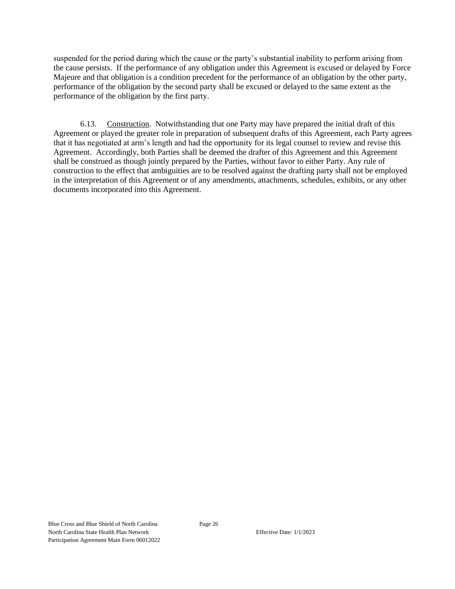suspended for the period during which the cause or the party's substantial inability to perform arising from the cause persists. If the performance of any obligation under this Agreement is excused or delayed by Force Majeure and that obligation is a condition precedent for the performance of an obligation by the other party, performance of the obligation by the second party shall be excused or delayed to the same extent as the performance of the obligation by the first party.

6.13. Construction. Notwithstanding that one Party may have prepared the initial draft of this Agreement or played the greater role in preparation of subsequent drafts of this Agreement, each Party agrees that it has negotiated at arm's length and had the opportunity for its legal counsel to review and revise this Agreement. Accordingly, both Parties shall be deemed the drafter of this Agreement and this Agreement shall be construed as though jointly prepared by the Parties, without favor to either Party. Any rule of construction to the effect that ambiguities are to be resolved against the drafting party shall not be employed in the interpretation of this Agreement or of any amendments, attachments, schedules, exhibits, or any other documents incorporated into this Agreement.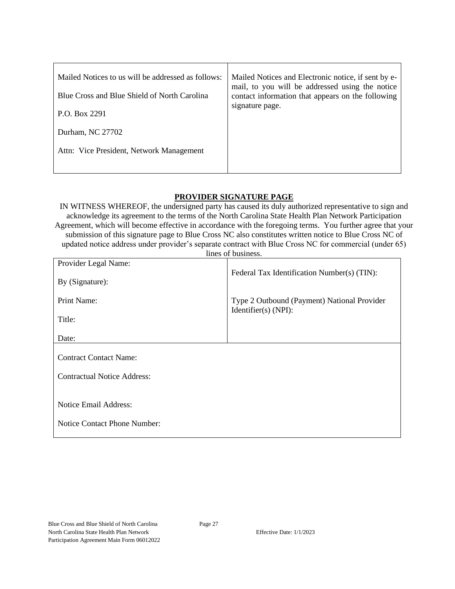| Mailed Notices to us will be addressed as follows:<br>Blue Cross and Blue Shield of North Carolina<br>P.O. Box 2291 | Mailed Notices and Electronic notice, if sent by e-<br>mail, to you will be addressed using the notice<br>contact information that appears on the following<br>signature page. |
|---------------------------------------------------------------------------------------------------------------------|--------------------------------------------------------------------------------------------------------------------------------------------------------------------------------|
| Durham, NC 27702<br>Attn: Vice President, Network Management                                                        |                                                                                                                                                                                |

# **PROVIDER SIGNATURE PAGE**

IN WITNESS WHEREOF, the undersigned party has caused its duly authorized representative to sign and acknowledge its agreement to the terms of the North Carolina State Health Plan Network Participation Agreement, which will become effective in accordance with the foregoing terms. You further agree that your submission of this signature page to Blue Cross NC also constitutes written notice to Blue Cross NC of updated notice address under provider's separate contract with Blue Cross NC for commercial (under 65) lines of business.

| Provider Legal Name:                | Federal Tax Identification Number(s) (TIN):                         |  |
|-------------------------------------|---------------------------------------------------------------------|--|
| By (Signature):                     |                                                                     |  |
| Print Name:                         | Type 2 Outbound (Payment) National Provider<br>Identifier(s) (NPI): |  |
| Title:                              |                                                                     |  |
| Date:                               |                                                                     |  |
| <b>Contract Contact Name:</b>       |                                                                     |  |
| <b>Contractual Notice Address:</b>  |                                                                     |  |
|                                     |                                                                     |  |
| Notice Email Address:               |                                                                     |  |
| <b>Notice Contact Phone Number:</b> |                                                                     |  |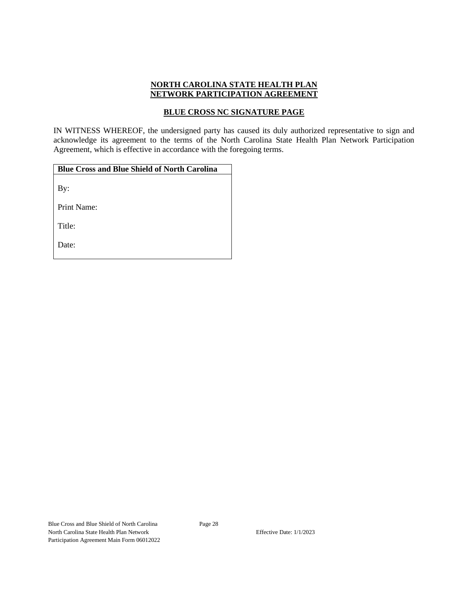#### **NORTH CAROLINA STATE HEALTH PLAN NETWORK PARTICIPATION AGREEMENT**

### **BLUE CROSS NC SIGNATURE PAGE**

IN WITNESS WHEREOF, the undersigned party has caused its duly authorized representative to sign and acknowledge its agreement to the terms of the North Carolina State Health Plan Network Participation Agreement, which is effective in accordance with the foregoing terms.

### **Blue Cross and Blue Shield of North Carolina**

By:

Print Name:

Title:

Date: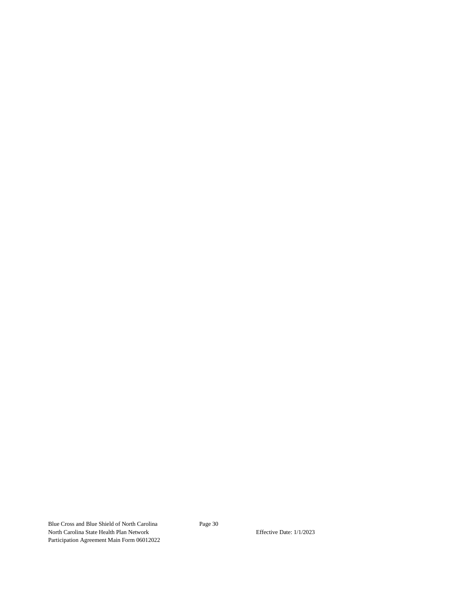Blue Cross and Blue Shield of North Carolina North Carolina State Health Plan Network Participation Agreement Main Form 0601202 2